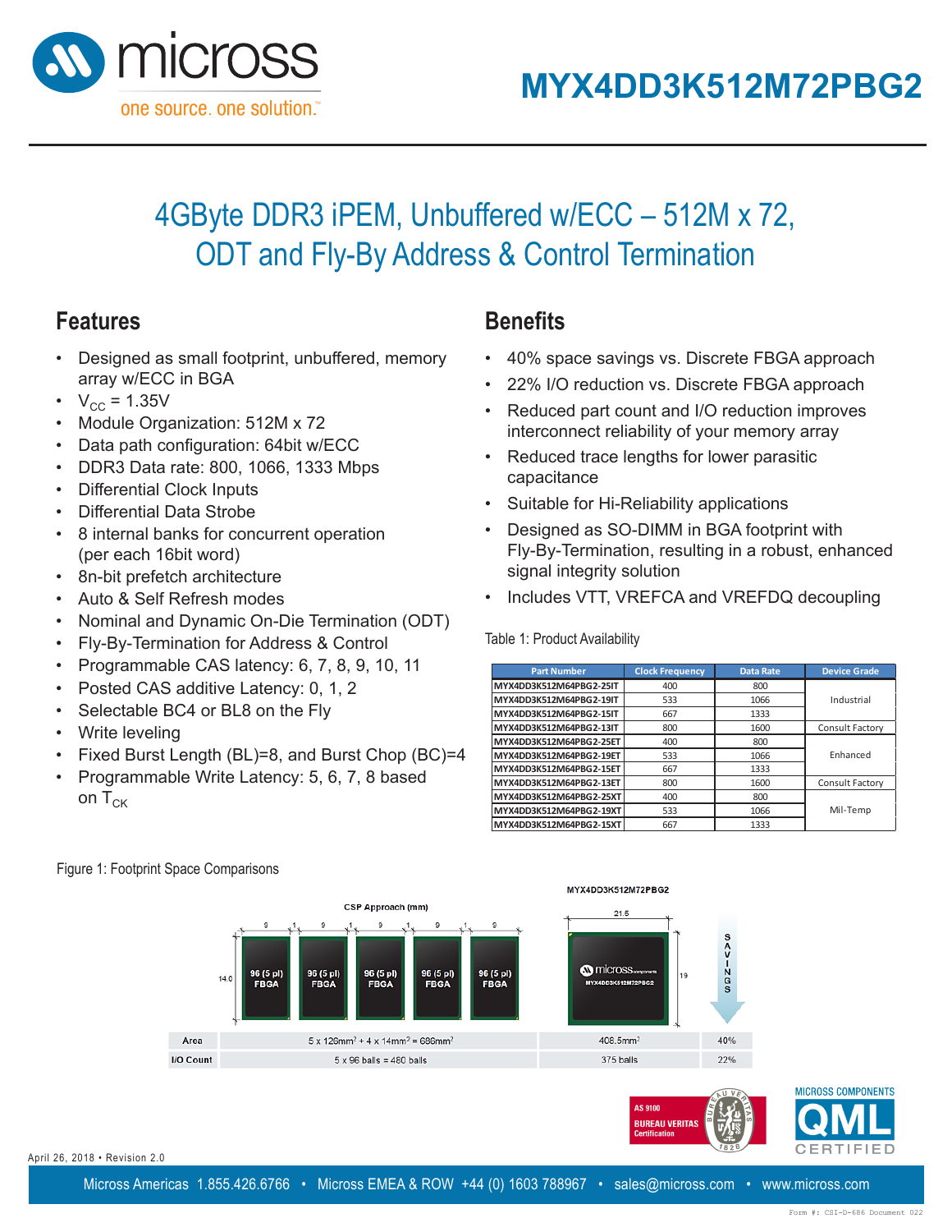

# 4GByte DDR3 iPEM, Unbuffered w/ECC – 512M x 72, ODT and Fly-By Address & Control Termination

### **Features**

- Designed as small footprint, unbuffered, memory array w/ECC in BGA
- $V_{\text{CC}} = 1.35V$
- Module Organization: 512M x 72
- Data path configuration: 64bit w/ECC
- DDR3 Data rate: 800, 1066, 1333 Mbps **Features**
- Differential Clock Inputs
- Differential Data Strobe
- 8 internal banks for concurrent operation (per each 16bit word)  $\mu$  banks for concarrent ope
- 8n-bit prefetch architecture
- Auto & Self Refresh modes
- Nominal and Dynamic On-Die Termination (ODT) and Dynamic On-Die Termination
- Fly-By-Termination for Address & Control
- $\cdot$  Programmable CAS latency: 6, 7, 8, 9, 10, 11  $\mathsf{m}$  and  $\mathsf{m}$  are  $\mathsf{m}$ .
- Posted CAS additive Latency: 0, 1, 2
- Selectable BC4 or BL8 on the Fly  $\mathcal{P}$  programmable  $\mathcal{P}$
- Write leveling
- Fixed Burst Length (BL)=8, and Burst Chop (BC)=4  $\epsilon$  and  $\epsilon$  additive Latence Case  $\epsilon$ ırst Lengtn (BL)=8, and B
- Programmable Write Latency: 5, 6, 7, 8 based on  $T_{CK}$  $\mathbf{F}_{\mathbf{B}}=\mathbf{F}_{\mathbf{B}}-\mathbf{F}_{\mathbf{B}}$  and  $\mathbf{F}_{\mathbf{B}}=\mathbf{F}_{\mathbf{B}}-\mathbf{F}_{\mathbf{B}}$

## **Benefits**

- 40% space savings vs. Discrete FBGA approach
- **4GByte 122% I/O reduction vs. Discrete FBGA approach** 
	- **•** Reduced part count and I/O reduction improves interconnect reliability of your memory array
		- **•** Reduced trace lengths for lower parasitic **Part Islamical Frequency Frequency Britain Britain Britain Britain Britain Britain Britain Britain Britain Britain Britain Britain Britain Britain Britain Britain Britain Britain Britain Britain Britain Britain Britain Br**
		- Suitable for Hi-Reliability applications **MYX4DD3K512M72PBG2-25IT** 400 800 suitable for m-Reliability application
		- **•** Designed as SO-DIMM in BGA footprint with Fly-By-Termination, resulting in a robust, enhanced signal integrity solution Designed as SO-DIMM in BGA footprint with **My By Tommanon, Tooding in a Tobaot**, omiding interconnection requiring in a ray rif-Dy-formmation, resulting in a
		- **MINGS THE VALUAT STATE FOR ADAPT STATE FACTOR** decoupling Includes VTT, VREFCA and VREF  $\mathcal{L}$  as  $\mathcal{L}$  is so that  $\mathcal{L}$  for  $\mathcal{L}$  for  $\mathcal{L}$  for  $\mathcal{L}$  for  $\mathcal{L}$  for  $\mathcal{L}$

Table 1: Product Availability

| <b>Part Number</b>      | <b>Clock Frequency</b> | <b>Data Rate</b> | <b>Device Grade</b>    |
|-------------------------|------------------------|------------------|------------------------|
| MYX4DD3K512M64PBG2-25IT | 400                    | 800              |                        |
| MYX4DD3K512M64PBG2-19IT | 533                    | 1066             | Industrial             |
| MYX4DD3K512M64PBG2-15IT | 667                    | 1333             |                        |
| MYX4DD3K512M64PBG2-13IT | 800                    | 1600             | <b>Consult Factory</b> |
| MYX4DD3K512M64PBG2-25ET | 400                    | 800              |                        |
| MYX4DD3K512M64PBG2-19ET | 533                    | 1066             | Enhanced               |
| MYX4DD3K512M64PBG2-15ET | 667                    | 1333             |                        |
| MYX4DD3K512M64PBG2-13ET | 800                    | 1600             | Consult Factory        |
| MYX4DD3K512M64PBG2-25XT | 400                    | 800              |                        |
| MYX4DD3K512M64PBG2-19XT | 533                    | 1066             | Mil-Temp               |
| MYX4DD3K512M64PBG2-15XT | 667                    | 1333             |                        |

AS 9100 **BUREAU VERITAS** 



April 26, 2018 • Revision 2.0  $\overline{1628}$ 

MICROSS COMPONENTS